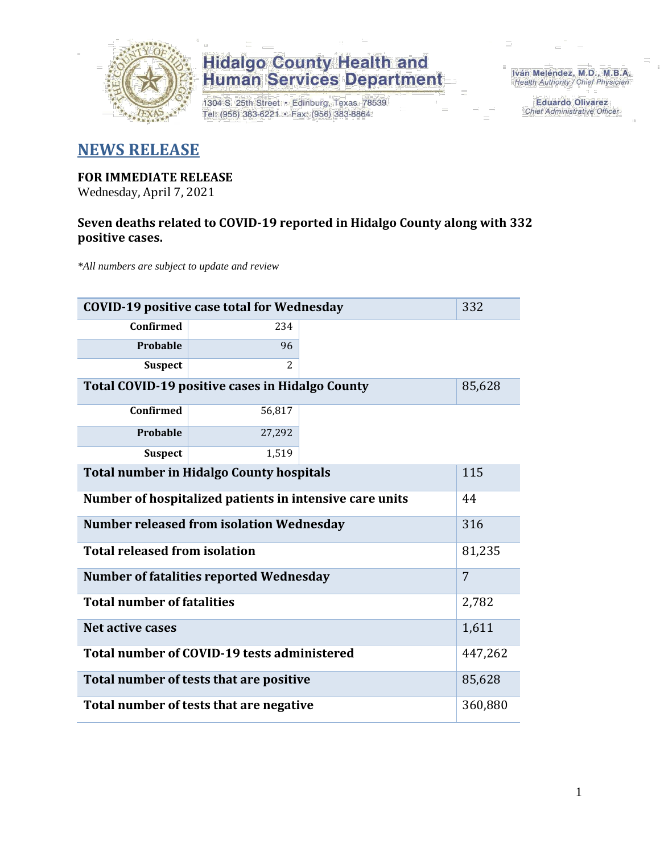

1304 S. 25th Street • Edinburg, Texas 78539<br>Tel: (956) 383-6221 • Fax: (956) 383-8864

Iván Meléndez, M.D., M.B.A. Health Authority / Chief Physician

> **Eduardo Olivarez** Chief Administrative Officer

#### **NEWS RELEASE**

#### **FOR IMMEDIATE RELEASE**

Wednesday, April 7, 2021

#### **Seven deaths related to COVID-19 reported in Hidalgo County along with 332 positive cases.**

*\*All numbers are subject to update and review*

| 332<br><b>COVID-19 positive case total for Wednesday</b>         |                                                     |  |         |  |  |  |  |  |  |
|------------------------------------------------------------------|-----------------------------------------------------|--|---------|--|--|--|--|--|--|
| Confirmed                                                        | 234                                                 |  |         |  |  |  |  |  |  |
| Probable                                                         | 96                                                  |  |         |  |  |  |  |  |  |
| <b>Suspect</b>                                                   | 2                                                   |  |         |  |  |  |  |  |  |
| <b>Total COVID-19 positive cases in Hidalgo County</b><br>85,628 |                                                     |  |         |  |  |  |  |  |  |
| <b>Confirmed</b>                                                 | 56,817                                              |  |         |  |  |  |  |  |  |
| Probable                                                         | 27,292                                              |  |         |  |  |  |  |  |  |
| <b>Suspect</b>                                                   | 1,519                                               |  |         |  |  |  |  |  |  |
| 115<br><b>Total number in Hidalgo County hospitals</b>           |                                                     |  |         |  |  |  |  |  |  |
| Number of hospitalized patients in intensive care units<br>44    |                                                     |  |         |  |  |  |  |  |  |
| <b>Number released from isolation Wednesday</b><br>316           |                                                     |  |         |  |  |  |  |  |  |
|                                                                  | <b>Total released from isolation</b><br>81,235      |  |         |  |  |  |  |  |  |
|                                                                  | 7<br><b>Number of fatalities reported Wednesday</b> |  |         |  |  |  |  |  |  |
| <b>Total number of fatalities</b>                                |                                                     |  | 2,782   |  |  |  |  |  |  |
| <b>Net active cases</b>                                          | 1,611                                               |  |         |  |  |  |  |  |  |
|                                                                  | Total number of COVID-19 tests administered         |  | 447,262 |  |  |  |  |  |  |
|                                                                  | Total number of tests that are positive<br>85,628   |  |         |  |  |  |  |  |  |
|                                                                  | Total number of tests that are negative<br>360,880  |  |         |  |  |  |  |  |  |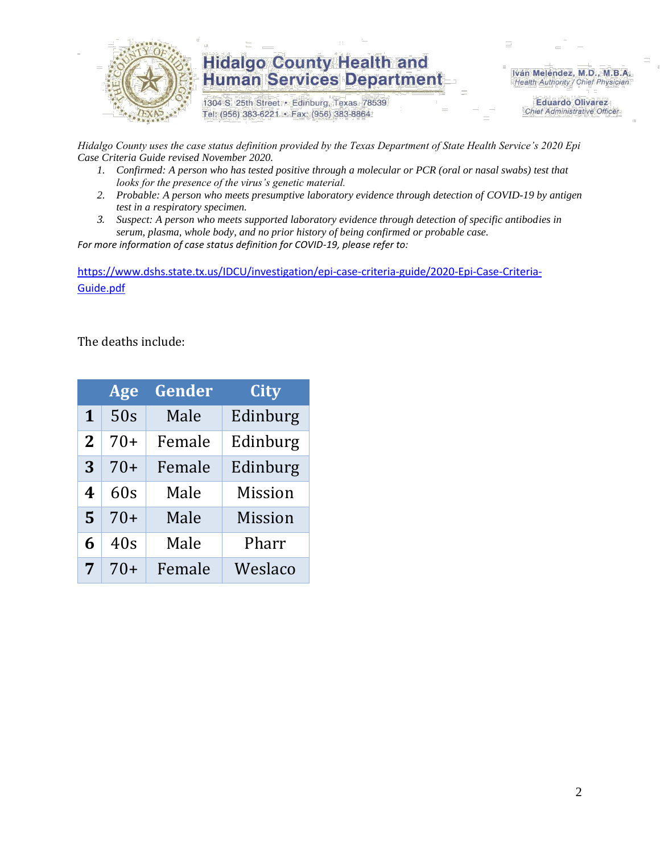

1304 S. 25th Street · Edinburg, Texas 78539 Tel: (956) 383-6221 · Fax: (956) 383-8864

Iván Meléndez, M.D., M.B.A. Health Authority / Chief Physician

> **Eduardo Olivarez Chief Administrative Officer**

*Hidalgo County uses the case status definition provided by the Texas Department of State Health Service's 2020 Epi Case Criteria Guide revised November 2020.*

- *1. Confirmed: A person who has tested positive through a molecular or PCR (oral or nasal swabs) test that looks for the presence of the virus's genetic material.*
- *2. Probable: A person who meets presumptive laboratory evidence through detection of COVID-19 by antigen test in a respiratory specimen.*
- *3. Suspect: A person who meets supported laboratory evidence through detection of specific antibodies in serum, plasma, whole body, and no prior history of being confirmed or probable case.*

*For more information of case status definition for COVID-19, please refer to:*

[https://www.dshs.state.tx.us/IDCU/investigation/epi-case-criteria-guide/2020-Epi-Case-Criteria-](https://www.dshs.state.tx.us/IDCU/investigation/epi-case-criteria-guide/2020-Epi-Case-Criteria-Guide.pdf)[Guide.pdf](https://www.dshs.state.tx.us/IDCU/investigation/epi-case-criteria-guide/2020-Epi-Case-Criteria-Guide.pdf)

The deaths include:

|                | Age   | Gender | City           |
|----------------|-------|--------|----------------|
| 1              | 50s   | Male   | Edinburg       |
| $\overline{2}$ | 70+   | Female | Edinburg       |
| 3              | 70+   | Female | Edinburg       |
| 4              | 60s   | Male   | <b>Mission</b> |
| 5              | $70+$ | Male   | Mission        |
| 6              | 40s   | Male   | Pharr          |
| 7              | 70+   | Female | Weslaco        |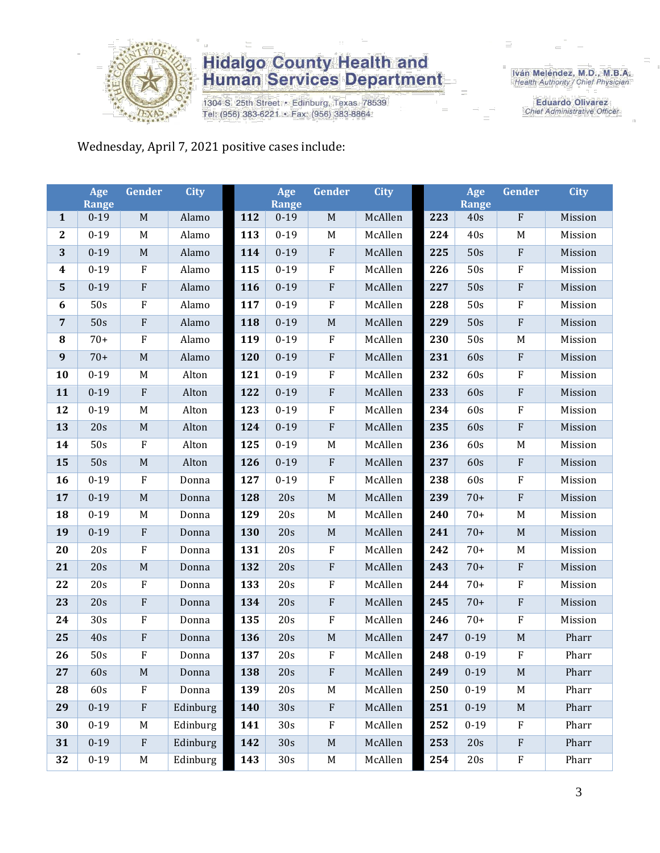

1304 S. 25th Street • Edinburg, Texas 78539<br>Tel: (956) 383-6221 • Fax: (956) 383-8864

Iván Meléndez, M.D., M.B.A.<br>Health Authority / Chief Physician

**Eduardo Olivarez** Chief Administrative Officer

#### Wednesday, April 7, 2021 positive cases include:

|                  | Age<br><b>Range</b> | Gender                    | <b>City</b> |     | Age<br><b>Range</b> | Gender                    | <b>City</b> |     | Age<br>Range | Gender                    | <b>City</b> |
|------------------|---------------------|---------------------------|-------------|-----|---------------------|---------------------------|-------------|-----|--------------|---------------------------|-------------|
| $\mathbf{1}$     | $0 - 19$            | $\mathbf M$               | Alamo       | 112 | $0 - 19$            | $\mathbf M$               | McAllen     | 223 | 40s          | ${\bf F}$                 | Mission     |
| $\bf 2$          | $0 - 19$            | M                         | Alamo       | 113 | $0 - 19$            | $\mathbf M$               | McAllen     | 224 | 40s          | $\mathbf M$               | Mission     |
| $\mathbf{3}$     | $0 - 19$            | $\mathbf M$               | Alamo       | 114 | $0 - 19$            | $\rm F$                   | McAllen     | 225 | 50s          | $\rm F$                   | Mission     |
| $\boldsymbol{4}$ | $0 - 19$            | $\rm F$                   | Alamo       | 115 | $0 - 19$            | $\rm F$                   | McAllen     | 226 | 50s          | ${\bf F}$                 | Mission     |
| ${\bf 5}$        | $0 - 19$            | ${\bf F}$                 | Alamo       | 116 | $0 - 19$            | ${\bf F}$                 | McAllen     | 227 | 50s          | ${\bf F}$                 | Mission     |
| $\boldsymbol{6}$ | 50s                 | $\rm F$                   | Alamo       | 117 | $0 - 19$            | $\rm F$                   | McAllen     | 228 | 50s          | $\rm F$                   | Mission     |
| $\overline{7}$   | 50s                 | $\rm F$                   | Alamo       | 118 | $0 - 19$            | $\mathbf M$               | McAllen     | 229 | 50s          | ${\bf F}$                 | Mission     |
| ${\bf 8}$        | $70+$               | $\boldsymbol{\mathrm{F}}$ | Alamo       | 119 | $0 - 19$            | ${\bf F}$                 | McAllen     | 230 | 50s          | M                         | Mission     |
| $\boldsymbol{9}$ | $70+$               | $\mathbf M$               | Alamo       | 120 | $0 - 19$            | ${\bf F}$                 | McAllen     | 231 | 60s          | ${\bf F}$                 | Mission     |
| 10               | $0 - 19$            | M                         | Alton       | 121 | $0 - 19$            | $\rm F$                   | McAllen     | 232 | 60s          | ${\bf F}$                 | Mission     |
| 11               | $0 - 19$            | ${\bf F}$                 | Alton       | 122 | $0 - 19$            | ${\bf F}$                 | McAllen     | 233 | 60s          | ${\bf F}$                 | Mission     |
| 12               | $0 - 19$            | M                         | Alton       | 123 | $0 - 19$            | ${\bf F}$                 | McAllen     | 234 | 60s          | $\boldsymbol{\mathrm{F}}$ | Mission     |
| 13               | 20s                 | $\mathbf M$               | Alton       | 124 | $0 - 19$            | $\rm F$                   | McAllen     | 235 | 60s          | ${\bf F}$                 | Mission     |
| 14               | 50s                 | $\rm F$                   | Alton       | 125 | $0 - 19$            | $\mathbf M$               | McAllen     | 236 | 60s          | M                         | Mission     |
| 15               | 50s                 | $\mathbf M$               | Alton       | 126 | $0 - 19$            | ${\bf F}$                 | McAllen     | 237 | 60s          | ${\bf F}$                 | Mission     |
| 16               | $0 - 19$            | ${\bf F}$                 | Donna       | 127 | $0 - 19$            | ${\bf F}$                 | McAllen     | 238 | 60s          | $\boldsymbol{\mathrm{F}}$ | Mission     |
| 17               | $0 - 19$            | $\mathbf M$               | Donna       | 128 | 20s                 | $\mathbf M$               | McAllen     | 239 | $70+$        | $\rm F$                   | Mission     |
| 18               | $0 - 19$            | M                         | Donna       | 129 | 20s                 | M                         | McAllen     | 240 | $70+$        | M                         | Mission     |
| 19               | $0 - 19$            | $\rm F$                   | Donna       | 130 | 20s                 | $\mathbf M$               | McAllen     | 241 | $70+$        | $\mathbf M$               | Mission     |
| 20               | 20s                 | $\overline{\mathrm{F}}$   | Donna       | 131 | 20s                 | $\rm F$                   | McAllen     | 242 | $70+$        | M                         | Mission     |
| 21               | 20s                 | $\mathbf M$               | Donna       | 132 | 20s                 | ${\bf F}$                 | McAllen     | 243 | $70+$        | ${\bf F}$                 | Mission     |
| 22               | 20s                 | ${\bf F}$                 | Donna       | 133 | 20s                 | ${\bf F}$                 | McAllen     | 244 | $70+$        | ${\bf F}$                 | Mission     |
| 23               | 20s                 | ${\bf F}$                 | Donna       | 134 | 20s                 | ${\bf F}$                 | McAllen     | 245 | $70+$        | ${\bf F}$                 | Mission     |
| 24               | 30s                 | $\rm F$                   | Donna       | 135 | 20s                 | ${\bf F}$                 | McAllen     | 246 | $70+$        | ${\bf F}$                 | Mission     |
| 25               | 40s                 | ${\bf F}$                 | Donna       | 136 | 20s                 | $\mathbf M$               | McAllen     | 247 | $0 - 19$     | $\mathbf M$               | Pharr       |
| 26               | 50s                 | $\rm F$                   | Donna       | 137 | 20s                 | ${\bf F}$                 | McAllen     | 248 | $0 - 19$     | ${\bf F}$                 | Pharr       |
| 27               | 60s                 | M                         | Donna       | 138 | 20s                 | ${\bf F}$                 | McAllen     | 249 | $0 - 19$     | $\mathbf M$               | Pharr       |
| 28               | 60s                 | $\boldsymbol{\mathrm{F}}$ | Donna       | 139 | 20s                 | $\mathbf M$               | McAllen     | 250 | $0 - 19$     | M                         | Pharr       |
| 29               | $0 - 19$            | ${\bf F}$                 | Edinburg    | 140 | 30s                 | ${\bf F}$                 | McAllen     | 251 | $0 - 19$     | $M_{\odot}$               | Pharr       |
| 30               | $0 - 19$            | M                         | Edinburg    | 141 | 30s                 | $\boldsymbol{\mathrm{F}}$ | McAllen     | 252 | $0 - 19$     | ${\bf F}$                 | Pharr       |
| 31               | $0 - 19$            | ${\bf F}$                 | Edinburg    | 142 | 30s                 | $\mathbf M$               | McAllen     | 253 | 20s          | ${\bf F}$                 | Pharr       |
| 32               | $0 - 19$            | M                         | Edinburg    | 143 | 30s                 | M                         | McAllen     | 254 | 20s          | ${\bf F}$                 | Pharr       |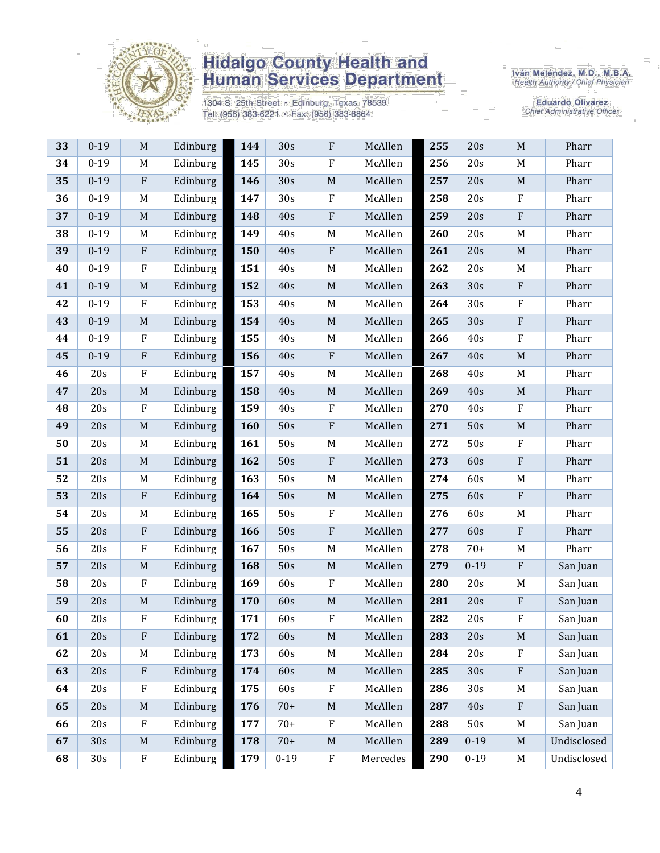

1304 S. 25th Street • Edinburg, Texas 78539<br>Tel: (956) 383-6221 • Fax: (956) 383-8864

Iván Meléndez, M.D., M.B.A.<br>Health Authority / Chief Physician

**Eduardo Olivarez** Chief Administrative Officer

| 33 | $0 - 19$ | $\mathbf M$               | Edinburg | 144 | 30s             | ${\bf F}$    | McAllen  | 255 | 20s      | $\mathbf M$               | Pharr       |
|----|----------|---------------------------|----------|-----|-----------------|--------------|----------|-----|----------|---------------------------|-------------|
| 34 | $0 - 19$ | M                         | Edinburg | 145 | 30 <sub>s</sub> | ${\bf F}$    | McAllen  | 256 | 20s      | M                         | Pharr       |
| 35 | $0 - 19$ | $\rm F$                   | Edinburg | 146 | 30s             | $\mathbf M$  | McAllen  | 257 | 20s      | $\mathbf M$               | Pharr       |
| 36 | $0 - 19$ | $\mathbf M$               | Edinburg | 147 | 30 <sub>s</sub> | ${\bf F}$    | McAllen  | 258 | 20s      | $\rm F$                   | Pharr       |
| 37 | $0 - 19$ | $\mathbf M$               | Edinburg | 148 | 40s             | ${\bf F}$    | McAllen  | 259 | 20s      | $\boldsymbol{\mathrm{F}}$ | Pharr       |
| 38 | $0 - 19$ | M                         | Edinburg | 149 | 40s             | M            | McAllen  | 260 | 20s      | M                         | Pharr       |
| 39 | $0 - 19$ | $\boldsymbol{\mathrm{F}}$ | Edinburg | 150 | 40s             | ${\bf F}$    | McAllen  | 261 | 20s      | $\mathbf M$               | Pharr       |
| 40 | $0 - 19$ | $\boldsymbol{\mathrm{F}}$ | Edinburg | 151 | 40s             | M            | McAllen  | 262 | 20s      | M                         | Pharr       |
| 41 | $0 - 19$ | $\mathbf M$               | Edinburg | 152 | 40s             | $\mathbf M$  | McAllen  | 263 | 30s      | ${\bf F}$                 | Pharr       |
| 42 | $0 - 19$ | $\rm F$                   | Edinburg | 153 | 40s             | M            | McAllen  | 264 | 30s      | F                         | Pharr       |
| 43 | $0 - 19$ | M                         | Edinburg | 154 | 40s             | $\mathbf M$  | McAllen  | 265 | 30s      | $\boldsymbol{\mathrm{F}}$ | Pharr       |
| 44 | $0 - 19$ | $\rm F$                   | Edinburg | 155 | 40s             | M            | McAllen  | 266 | 40s      | $\rm F$                   | Pharr       |
| 45 | $0 - 19$ | $\boldsymbol{\mathrm{F}}$ | Edinburg | 156 | 40s             | $\, {\bf F}$ | McAllen  | 267 | 40s      | $\mathbf M$               | Pharr       |
| 46 | 20s      | $\rm F$                   | Edinburg | 157 | 40s             | $\mathbf M$  | McAllen  | 268 | 40s      | M                         | Pharr       |
| 47 | 20s      | $\mathbf M$               | Edinburg | 158 | 40s             | $\mathbf M$  | McAllen  | 269 | 40s      | $\mathbf M$               | Pharr       |
| 48 | 20s      | ${\bf F}$                 | Edinburg | 159 | 40s             | ${\bf F}$    | McAllen  | 270 | 40s      | $\boldsymbol{\mathrm{F}}$ | Pharr       |
| 49 | 20s      | $\mathbf M$               | Edinburg | 160 | 50s             | ${\bf F}$    | McAllen  | 271 | 50s      | $\mathbf M$               | Pharr       |
| 50 | 20s      | M                         | Edinburg | 161 | 50s             | M            | McAllen  | 272 | 50s      | $\rm F$                   | Pharr       |
| 51 | 20s      | $\mathbf M$               | Edinburg | 162 | 50s             | ${\bf F}$    | McAllen  | 273 | 60s      | $\boldsymbol{\mathrm{F}}$ | Pharr       |
| 52 | 20s      | M                         | Edinburg | 163 | 50s             | M            | McAllen  | 274 | 60s      | M                         | Pharr       |
| 53 | 20s      | $\rm F$                   | Edinburg | 164 | 50s             | $\mathbf M$  | McAllen  | 275 | 60s      | $\boldsymbol{\mathrm{F}}$ | Pharr       |
| 54 | 20s      | $\mathbf M$               | Edinburg | 165 | 50s             | ${\bf F}$    | McAllen  | 276 | 60s      | M                         | Pharr       |
| 55 | 20s      | $\boldsymbol{\mathrm{F}}$ | Edinburg | 166 | 50s             | ${\bf F}$    | McAllen  | 277 | 60s      | $\boldsymbol{\mathrm{F}}$ | Pharr       |
| 56 | 20s      | ${\bf F}$                 | Edinburg | 167 | 50s             | $\mathbf M$  | McAllen  | 278 | $70+$    | M                         | Pharr       |
| 57 | 20s      | $\mathbf M$               | Edinburg | 168 | 50s             | $\mathbf M$  | McAllen  | 279 | $0 - 19$ | $\boldsymbol{\mathrm{F}}$ | San Juan    |
| 58 | 20s      | ${\bf F}$                 | Edinburg | 169 | 60s             | F            | McAllen  | 280 | 20s      | M                         | San Juan    |
| 59 | 20s      | $\mathbf M$               | Edinburg | 170 | 60s             | $\mathbf M$  | McAllen  | 281 | 20s      | $\boldsymbol{\mathrm{F}}$ | San Juan    |
| 60 | 20s      | ${\bf F}$                 | Edinburg | 171 | 60s             | ${\bf F}$    | McAllen  | 282 | 20s      | $\rm F$                   | San Juan    |
| 61 | 20s      | $\rm F$                   | Edinburg | 172 | 60s             | $\mathbf M$  | McAllen  | 283 | 20s      | $\mathbf M$               | San Juan    |
| 62 | 20s      | M                         | Edinburg | 173 | 60s             | M            | McAllen  | 284 | 20s      | F                         | San Juan    |
| 63 | 20s      | ${\bf F}$                 | Edinburg | 174 | 60s             | $\mathbf M$  | McAllen  | 285 | 30s      | ${\bf F}$                 | San Juan    |
| 64 | 20s      | $\rm F$                   | Edinburg | 175 | 60s             | ${\bf F}$    | McAllen  | 286 | 30s      | M                         | San Juan    |
| 65 | 20s      | $\mathbf M$               | Edinburg | 176 | $70+$           | $\mathbf M$  | McAllen  | 287 | 40s      | ${\bf F}$                 | San Juan    |
| 66 | 20s      | $\boldsymbol{\mathrm{F}}$ | Edinburg | 177 | $70+$           | ${\bf F}$    | McAllen  | 288 | 50s      | M                         | San Juan    |
| 67 | 30s      | M                         | Edinburg | 178 | $70+$           | $\mathbf M$  | McAllen  | 289 | $0 - 19$ | M                         | Undisclosed |
| 68 | 30s      | ${\bf F}$                 | Edinburg | 179 | $0 - 19$        | ${\bf F}$    | Mercedes | 290 | $0 - 19$ | M                         | Undisclosed |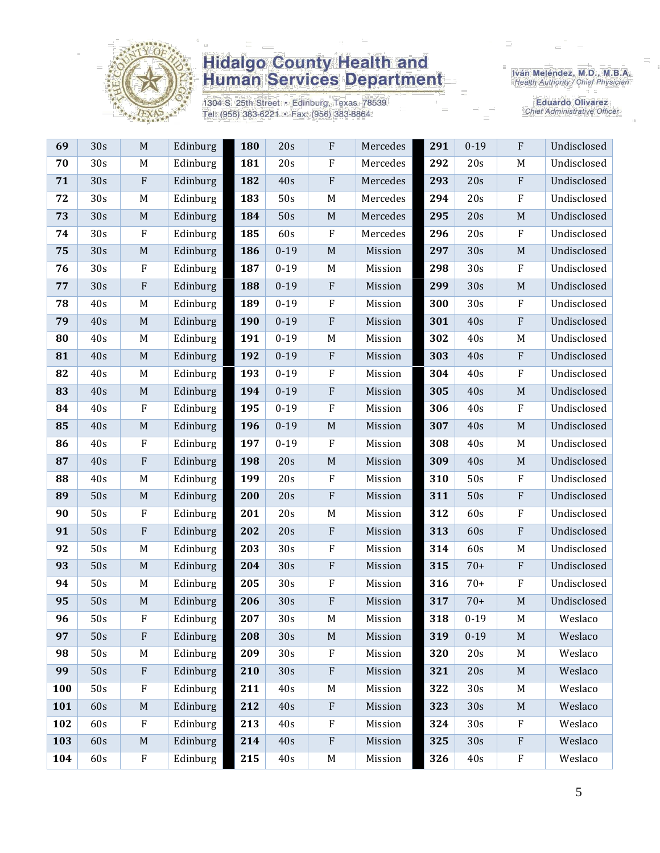

1304 S. 25th Street • Edinburg, Texas 78539<br>Tel: (956) 383-6221 • Fax: (956) 383-8864

Iván Meléndez, M.D., M.B.A.<br>Health Authority / Chief Physician

**Eduardo Olivarez** Chief Administrative Officer

| 69  | 30s | M                         | Edinburg | 180 | 20s      | $\rm F$     | Mercedes | 291 | $0 - 19$ | ${\bf F}$    | Undisclosed |
|-----|-----|---------------------------|----------|-----|----------|-------------|----------|-----|----------|--------------|-------------|
| 70  | 30s | M                         | Edinburg | 181 | 20s      | $\rm F$     | Mercedes | 292 | 20s      | M            | Undisclosed |
| 71  | 30s | $\rm F$                   | Edinburg | 182 | 40s      | $\rm F$     | Mercedes | 293 | 20s      | ${\bf F}$    | Undisclosed |
| 72  | 30s | M                         | Edinburg | 183 | 50s      | $\mathbf M$ | Mercedes | 294 | 20s      | ${\bf F}$    | Undisclosed |
| 73  | 30s | $\mathbf M$               | Edinburg | 184 | 50s      | $\mathbf M$ | Mercedes | 295 | 20s      | M            | Undisclosed |
| 74  | 30s | $\rm F$                   | Edinburg | 185 | 60s      | $\rm F$     | Mercedes | 296 | 20s      | ${\bf F}$    | Undisclosed |
| 75  | 30s | $\mathbf M$               | Edinburg | 186 | $0 - 19$ | $\mathbf M$ | Mission  | 297 | 30s      | $\mathbf M$  | Undisclosed |
| 76  | 30s | $\rm F$                   | Edinburg | 187 | $0 - 19$ | M           | Mission  | 298 | 30s      | $\mathbf{F}$ | Undisclosed |
| 77  | 30s | $\boldsymbol{\mathrm{F}}$ | Edinburg | 188 | $0 - 19$ | $\rm F$     | Mission  | 299 | 30s      | $\mathbf M$  | Undisclosed |
| 78  | 40s | M                         | Edinburg | 189 | $0 - 19$ | $\mathbf F$ | Mission  | 300 | 30s      | $\mathbf{F}$ | Undisclosed |
| 79  | 40s | $\mathbf M$               | Edinburg | 190 | $0 - 19$ | $\rm F$     | Mission  | 301 | 40s      | ${\bf F}$    | Undisclosed |
| 80  | 40s | $M_{\odot}$               | Edinburg | 191 | $0 - 19$ | M           | Mission  | 302 | 40s      | M            | Undisclosed |
| 81  | 40s | M                         | Edinburg | 192 | $0 - 19$ | $\rm F$     | Mission  | 303 | 40s      | ${\bf F}$    | Undisclosed |
| 82  | 40s | M                         | Edinburg | 193 | $0 - 19$ | $\rm F$     | Mission  | 304 | 40s      | ${\bf F}$    | Undisclosed |
| 83  | 40s | $\mathbf M$               | Edinburg | 194 | $0 - 19$ | $\rm F$     | Mission  | 305 | 40s      | $\mathbf M$  | Undisclosed |
| 84  | 40s | ${\bf F}$                 | Edinburg | 195 | $0 - 19$ | $\rm F$     | Mission  | 306 | 40s      | ${\bf F}$    | Undisclosed |
| 85  | 40s | M                         | Edinburg | 196 | $0 - 19$ | $\mathbf M$ | Mission  | 307 | 40s      | $\mathbf M$  | Undisclosed |
| 86  | 40s | $\rm F$                   | Edinburg | 197 | $0 - 19$ | $\rm F$     | Mission  | 308 | 40s      | $M_{\odot}$  | Undisclosed |
| 87  | 40s | ${\bf F}$                 | Edinburg | 198 | 20s      | $\mathbf M$ | Mission  | 309 | 40s      | $\mathbf M$  | Undisclosed |
| 88  | 40s | M                         | Edinburg | 199 | 20s      | $\rm F$     | Mission  | 310 | 50s      | $\mathbf{F}$ | Undisclosed |
| 89  | 50s | M                         | Edinburg | 200 | 20s      | $\rm F$     | Mission  | 311 | 50s      | ${\bf F}$    | Undisclosed |
| 90  | 50s | $\rm F$                   | Edinburg | 201 | 20s      | M           | Mission  | 312 | 60s      | ${\bf F}$    | Undisclosed |
| 91  | 50s | ${\bf F}$                 | Edinburg | 202 | 20s      | $\rm F$     | Mission  | 313 | 60s      | ${\bf F}$    | Undisclosed |
| 92  | 50s | M                         | Edinburg | 203 | 30s      | $\mathbf F$ | Mission  | 314 | 60s      | M            | Undisclosed |
| 93  | 50s | M                         | Edinburg | 204 | 30s      | $\rm F$     | Mission  | 315 | $70+$    | ${\bf F}$    | Undisclosed |
| 94  | 50s | M                         | Edinburg | 205 | 30s      | $\rm F$     | Mission  | 316 | $70+$    | ${\bf F}$    | Undisclosed |
| 95  | 50s | $\mathbf M$               | Edinburg | 206 | 30s      | $\rm F$     | Mission  | 317 | $70+$    | M            | Undisclosed |
| 96  | 50s | F                         | Edinburg | 207 | 30s      | M           | Mission  | 318 | $0 - 19$ | M            | Weslaco     |
| 97  | 50s | $\mathbf{F}$              | Edinburg | 208 | 30s      | $\mathbf M$ | Mission  | 319 | $0 - 19$ | $\mathbf M$  | Weslaco     |
| 98  | 50s | M                         | Edinburg | 209 | 30s      | ${\bf F}$   | Mission  | 320 | 20s      | M            | Weslaco     |
| 99  | 50s | $\rm F$                   | Edinburg | 210 | 30s      | $\rm F$     | Mission  | 321 | 20s      | $\mathbf M$  | Weslaco     |
| 100 | 50s | $\rm F$                   | Edinburg | 211 | 40s      | M           | Mission  | 322 | 30s      | M            | Weslaco     |
| 101 | 60s | M                         | Edinburg | 212 | 40s      | $\rm F$     | Mission  | 323 | 30s      | $\mathbf M$  | Weslaco     |
| 102 | 60s | $\mathbf F$               | Edinburg | 213 | 40s      | $\rm F$     | Mission  | 324 | 30s      | F            | Weslaco     |
| 103 | 60s | $\mathbf M$               | Edinburg | 214 | 40s      | $\rm F$     | Mission  | 325 | 30s      | ${\bf F}$    | Weslaco     |
| 104 | 60s | $\rm F$                   | Edinburg | 215 | 40s      | M           | Mission  | 326 | 40s      | ${\bf F}$    | Weslaco     |